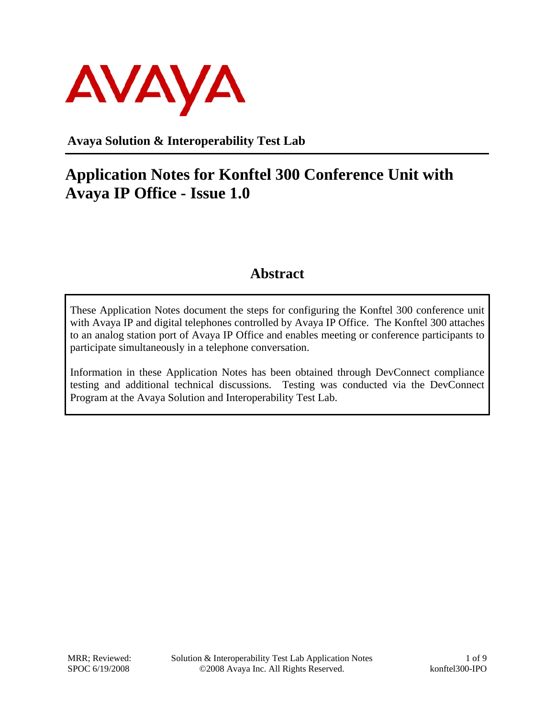

**Avaya Solution & Interoperability Test Lab** 

## **Application Notes for Konftel 300 Conference Unit with Avaya IP Office - Issue 1.0**

#### **Abstract**

These Application Notes document the steps for configuring the Konftel 300 conference unit with Avaya IP and digital telephones controlled by Avaya IP Office. The Konftel 300 attaches to an analog station port of Avaya IP Office and enables meeting or conference participants to participate simultaneously in a telephone conversation.

Information in these Application Notes has been obtained through DevConnect compliance testing and additional technical discussions. Testing was conducted via the DevConnect Program at the Avaya Solution and Interoperability Test Lab.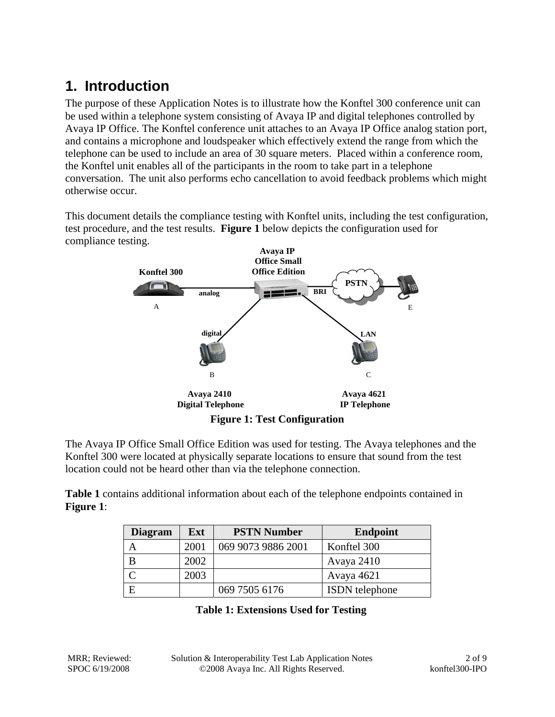## **1. Introduction**

The purpose of these Application Notes is to illustrate how the Konftel 300 conference unit can be used within a telephone system consisting of Avaya IP and digital telephones controlled by Avaya IP Office. The Konftel conference unit attaches to an Avaya IP Office analog station port, and contains a microphone and loudspeaker which effectively extend the range from which the telephone can be used to include an area of 30 square meters. Placed within a conference room, the Konftel unit enables all of the participants in the room to take part in a telephone conversation. The unit also performs echo cancellation to avoid feedback problems which might otherwise occur.

This document details the compliance testing with Konftel units, including the test configuration, test procedure, and the test results. **Figure 1** below depicts the configuration used for compliance testing.



The Avaya IP Office Small Office Edition was used for testing. The Avaya telephones and the Konftel 300 were located at physically separate locations to ensure that sound from the test location could not be heard other than via the telephone connection.

**Table 1** contains additional information about each of the telephone endpoints contained in **Figure 1**:

| <b>Diagram</b> | Ext  | <b>PSTN Number</b> | <b>Endpoint</b>       |
|----------------|------|--------------------|-----------------------|
|                | 2001 | 069 9073 9886 2001 | Konftel 300           |
| В              | 2002 |                    | Avaya 2410            |
|                | 2003 |                    | Avaya 4621            |
| Ε              |      | 069 7505 6176      | <b>ISDN</b> telephone |

| <b>Table 1: Extensions Used for Testing</b> |  |  |  |
|---------------------------------------------|--|--|--|
|---------------------------------------------|--|--|--|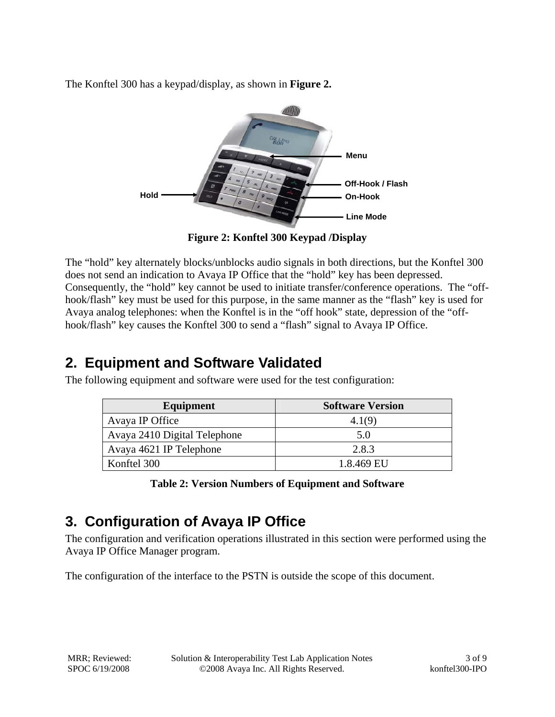The Konftel 300 has a keypad/display, as shown in **Figure 2.**



**Figure 2: Konftel 300 Keypad /Display** 

The "hold" key alternately blocks/unblocks audio signals in both directions, but the Konftel 300 does not send an indication to Avaya IP Office that the "hold" key has been depressed. Consequently, the "hold" key cannot be used to initiate transfer/conference operations. The "offhook/flash" key must be used for this purpose, in the same manner as the "flash" key is used for Avaya analog telephones: when the Konftel is in the "off hook" state, depression of the "offhook/flash" key causes the Konftel 300 to send a "flash" signal to Avaya IP Office.

#### **2. Equipment and Software Validated**

The following equipment and software were used for the test configuration:

| Equipment                    | <b>Software Version</b> |
|------------------------------|-------------------------|
| Avaya IP Office              | 4.1(9)                  |
| Avaya 2410 Digital Telephone | 5.0                     |
| Avaya 4621 IP Telephone      | 2.8.3                   |
| Konftel 300                  | 1.8.469 EU              |
|                              |                         |

**Table 2: Version Numbers of Equipment and Software** 

## **3. Configuration of Avaya IP Office**

The configuration and verification operations illustrated in this section were performed using the Avaya IP Office Manager program.

The configuration of the interface to the PSTN is outside the scope of this document.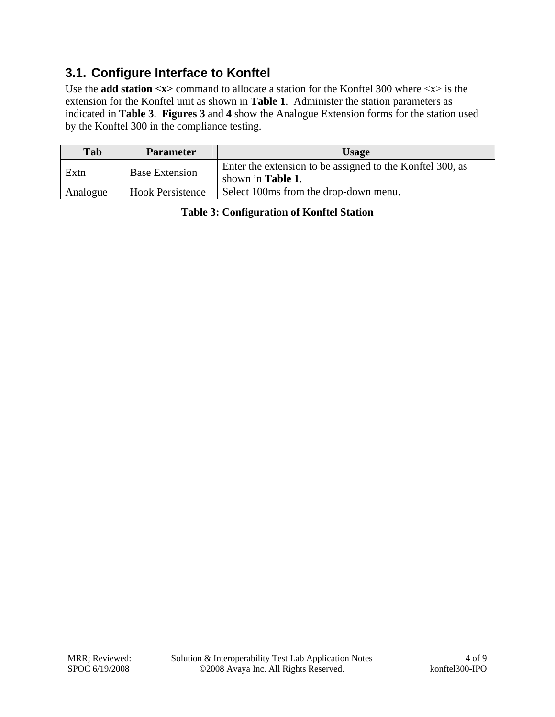#### **3.1. Configure Interface to Konftel**

Use the **add station**  $\langle x \rangle$  command to allocate a station for the Konftel 300 where  $\langle x \rangle$  is the extension for the Konftel unit as shown in **Table 1**. Administer the station parameters as indicated in **Table 3**. **Figures 3** and **4** show the Analogue Extension forms for the station used by the Konftel 300 in the compliance testing.

| Tab      | <b>Parameter</b>        | <b>Usage</b>                                                                           |
|----------|-------------------------|----------------------------------------------------------------------------------------|
| Extn     | <b>Base Extension</b>   | Enter the extension to be assigned to the Konftel 300, as<br>shown in <b>Table 1</b> . |
| Analogue | <b>Hook Persistence</b> | Select 100ms from the drop-down menu.                                                  |

**Table 3: Configuration of Konftel Station**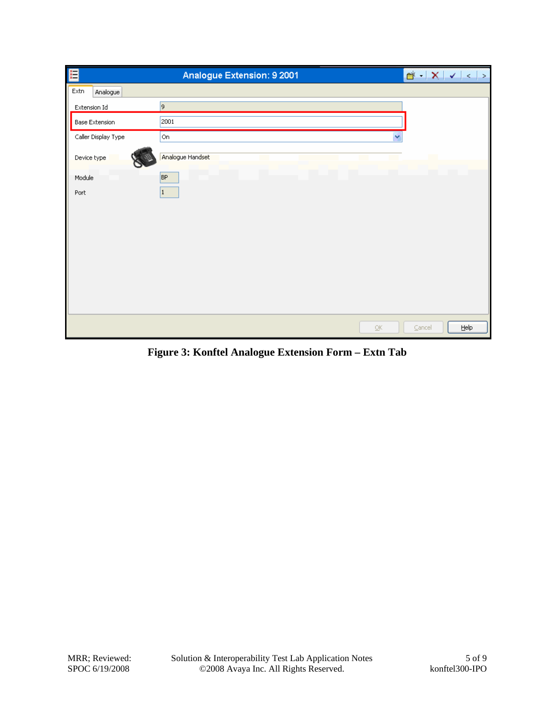| E                   | Analogue Extension: 9 2001        |              |
|---------------------|-----------------------------------|--------------|
| Extn<br>Analogue    |                                   |              |
| Extension Id        | 9                                 |              |
| Base Extension      | 2001                              |              |
| Caller Display Type | Y<br>On                           |              |
| Device type         | Analogue Handset                  |              |
| Module              | BP                                |              |
| Port                | 1                                 |              |
|                     |                                   |              |
|                     |                                   |              |
|                     |                                   |              |
|                     |                                   |              |
|                     |                                   |              |
|                     |                                   |              |
|                     |                                   |              |
|                     | $\overline{\mathsf{O}}\mathsf{K}$ | He<br>Cancel |

**Figure 3: Konftel Analogue Extension Form – Extn Tab**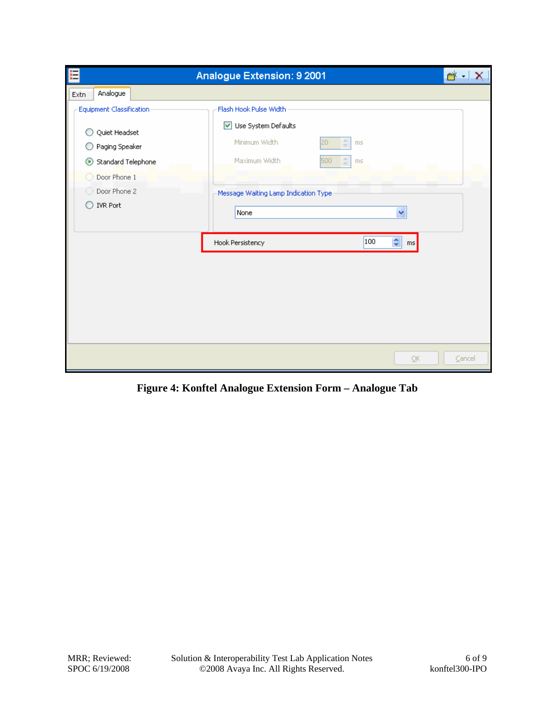|                                                                                   | Analogue Extension: 9 2001                                                                                                                | $\rightarrow$ |
|-----------------------------------------------------------------------------------|-------------------------------------------------------------------------------------------------------------------------------------------|---------------|
| Analogue<br>Extn                                                                  |                                                                                                                                           |               |
| Equipment Classification<br>Quiet Headset<br>Paging Speaker<br>Standard Telephone | Flash Hook Pulse Width<br>■ Use System Defaults<br>Minimum Width<br>章<br>20<br>ms<br>Maximum Width<br>$\frac{\Lambda}{\Psi}$<br>500<br>ms |               |
| Door Phone 1<br>O Door Phone 2<br><b>IVR Port</b><br>Ð                            | Message Waiting Lamp Indication Type<br>None<br>v                                                                                         |               |
|                                                                                   | 100<br>¢<br>Hook Persistency<br>ms                                                                                                        |               |
|                                                                                   | $\overline{\mathsf{g}}$ K                                                                                                                 | Cancel        |

**Figure 4: Konftel Analogue Extension Form – Analogue Tab**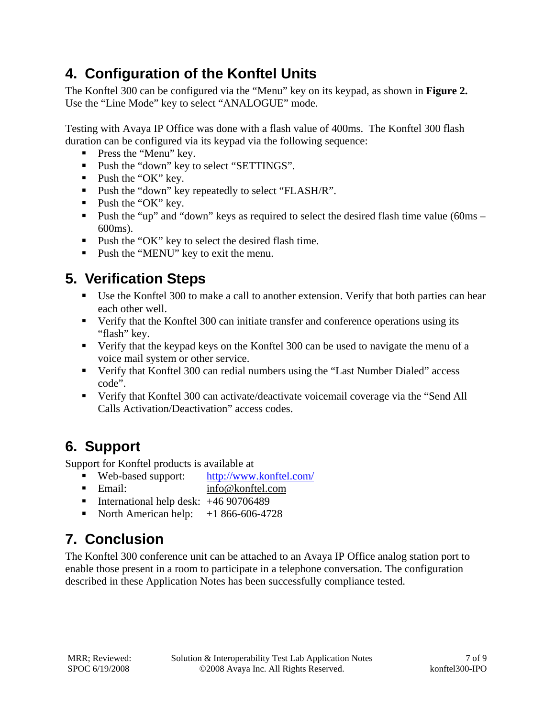#### **4. Configuration of the Konftel Units**

The Konftel 300 can be configured via the "Menu" key on its keypad, as shown in **Figure 2.** Use the "Line Mode" key to select "ANALOGUE" mode.

Testing with Avaya IP Office was done with a flash value of 400ms. The Konftel 300 flash duration can be configured via its keypad via the following sequence:

- **Press the "Menu" key.**
- Push the "down" key to select "SETTINGS".
- $\blacksquare$  Push the "OK" key.
- **Push the "down" key repeatedly to select "FLASH/R".**
- $\blacksquare$  Push the "OK" key.
- Push the "up" and "down" keys as required to select the desired flash time value (60ms 600ms).
- **Push the "OK" key to select the desired flash time.**
- **Push the "MENU" key to exit the menu.**

#### **5. Verification Steps**

- Use the Konftel 300 to make a call to another extension. Verify that both parties can hear each other well.
- Verify that the Konftel 300 can initiate transfer and conference operations using its "flash" key.
- Verify that the keypad keys on the Konftel 300 can be used to navigate the menu of a voice mail system or other service.
- Verify that Konftel 300 can redial numbers using the "Last Number Dialed" access code".
- Verify that Konftel 300 can activate/deactivate voicemail coverage via the "Send All Calls Activation/Deactivation" access codes.

## **6. Support**

Support for Konftel products is available at

- Web-based support: http://www.konftel.com/
- Email: info@konftel.com
- **International help desk:**  $+4690706489$
- North American help:  $+1866-606-4728$

# **7. Conclusion**

The Konftel 300 conference unit can be attached to an Avaya IP Office analog station port to enable those present in a room to participate in a telephone conversation. The configuration described in these Application Notes has been successfully compliance tested.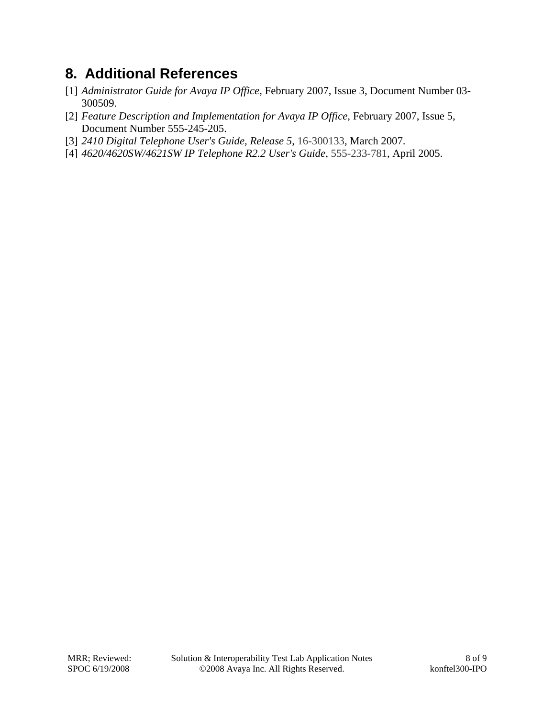#### **8. Additional References**

- [1] *Administrator Guide for Avaya IP Office*, February 2007, Issue 3, Document Number 03- 300509.
- [2] *Feature Description and Implementation for Avaya IP Office*, February 2007, Issue 5, Document Number 555-245-205.
- [3] *2410 Digital Telephone User's Guide, Release 5*, 16-300133, March 2007.
- [4] *4620/4620SW/4621SW IP Telephone R2.2 User's Guide*, 555-233-781, April 2005.